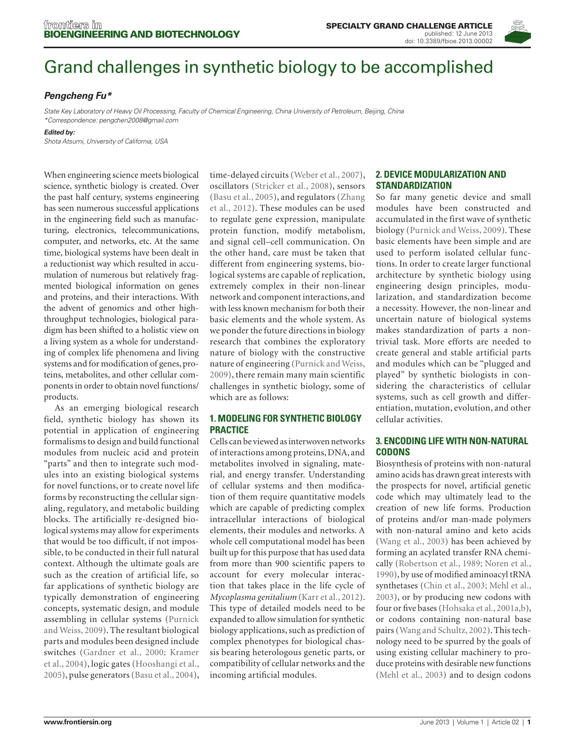

# [Grand challenges in synthetic biology to be accomplished](http://www.frontiersin.org/Synthetic_Biology/10.3389/fbioe.2013.00002/full)

# *[Pengcheng Fu](http://www.frontiersin.org/Community/WhosWhoActivity.aspx?sname=PengchengFu&UID=47155)\**

*State Key Laboratory of Heavy Oil Processing, Faculty of Chemical Engineering, China University of Petroleum, Beijing, China \*Correspondence: [pengchen2008@gmail.com](mailto:pengchen2008@gmail.com)*

*Edited by:*

*Shota Atsumi, University of California, USA*

When engineering science meets biological science, synthetic biology is created. Over the past half century, systems engineering has seen numerous successful applications in the engineering field such as manufacturing, electronics, telecommunications, computer, and networks, etc. At the same time, biological systems have been dealt in a reductionist way which resulted in accumulation of numerous but relatively fragmented biological information on genes and proteins, and their interactions. With the advent of genomics and other highthroughput technologies, biological paradigm has been shifted to a holistic view on a living system as a whole for understanding of complex life phenomena and living systems and for modification of genes, proteins, metabolites, and other cellular components in order to obtain novel functions/ products.

As an emerging biological research field, synthetic biology has shown its potential in application of engineering formalisms to design and build functional modules from nucleic acid and protein "parts" and then to integrate such modules into an existing biological systems for novel functions, or to create novel life forms by reconstructing the cellular signaling, regulatory, and metabolic building blocks. The artificially re-designed biological systems may allow for experiments that would be too difficult, if not impossible, to be conducted in their full natural context. Although the ultimate goals are such as the creation of artificial life, so far applications of synthetic biology are typically demonstration of engineering concepts, systematic design, and module assembling in cellular systems ([Purnick](#page-1-0)  [and Weiss, 2009\)](#page-1-0). The resultant biological parts and modules been designed include switches (Gardner et [al., 2000; Kramer](#page-1-0)  et [al., 2004\),](#page-1-0) logic gates [\(Hooshangi et](#page-1-0) al., [2005\),](#page-1-0) pulse generators (Basu et [al., 2004\),](#page-1-0)

time-delayed circuits (Weber et [al., 2007\)](#page-2-0), oscillators [\(Stricker et](#page-1-0) al., 2008), sensors (Basu et [al., 2005\),](#page-1-0) and regulators [\(Zhang](#page-2-0)  et [al., 2012\).](#page-2-0) These modules can be used to regulate gene expression, manipulate protein function, modify metabolism, and signal cell–cell communication. On the other hand, care must be taken that different from engineering systems, biological systems are capable of replication, extremely complex in their non-linear network and component interactions, and with less known mechanism for both their basic elements and the whole system. As we ponder the future directions in biology research that combines the exploratory nature of biology with the constructive nature of engineering [\(Purnick and Weiss,](#page-1-0)  [2009\),](#page-1-0) there remain many main scientific challenges in synthetic biology, some of which are as follows:

# **1. Modeling for synthetic biology practice**

Cells can be viewed as interwoven networks of interactions among proteins, DNA, and metabolites involved in signaling, material, and energy transfer. Understanding of cellular systems and then modification of them require quantitative models which are capable of predicting complex intracellular interactions of biological elements, their modules and networks. A whole cell computational model has been built up for this purpose that has used data from more than 900 scientific papers to account for every molecular interaction that takes place in the life cycle of *Mycoplasma genitalium* (Karr et [al., 2012\).](#page-1-0)  This type of detailed models need to be expanded to allow simulation for synthetic biology applications, such as prediction of complex phenotypes for biological chassis bearing heterologous genetic parts, or compatibility of cellular networks and the incoming artificial modules.

## **2. Device modularization and standardization**

So far many genetic device and small modules have been constructed and accumulated in the first wave of synthetic biology [\(Purnick and Weiss, 2009\)](#page-1-0). These basic elements have been simple and are used to perform isolated cellular functions. In order to create larger functional architecture by synthetic biology using engineering design principles, modularization, and standardization become a necessity. However, the non-linear and uncertain nature of biological systems makes standardization of parts a nontrivial task. More efforts are needed to create general and stable artificial parts and modules which can be "plugged and played" by synthetic biologists in considering the characteristics of cellular systems, such as cell growth and differentiation, mutation, evolution, and other cellular activities.

## **3. Encoding life with non-natural codons**

Biosynthesis of proteins with non-natural amino acids has drawn great interests with the prospects for novel, artificial genetic code which may ultimately lead to the creation of new life forms. Production of proteins and/or man-made polymers with non-natural amino and keto acids [\(Wang et](#page-1-0) al., 2003) has been achieved by forming an acylated transfer RNA chemically (Robertson et [al., 1989; Noren et](#page-1-0) al., [1990\),](#page-1-0) by use of modified aminoacyl tRNA synthetases (Chin et [al., 2003; Mehl et](#page-1-0) al., [2003\),](#page-1-0) or by producing new codons with four or five bases [\(Hohsaka et](#page-1-0) al., 2001a,b), or codons containing non-natural base pairs [\(Wang and Schultz, 2002\).](#page-1-0) This technology need to be spurred by the goals of using existing cellular machinery to produce proteins with desirable new functions (Mehl et [al., 2003\)](#page-1-0) and to design codons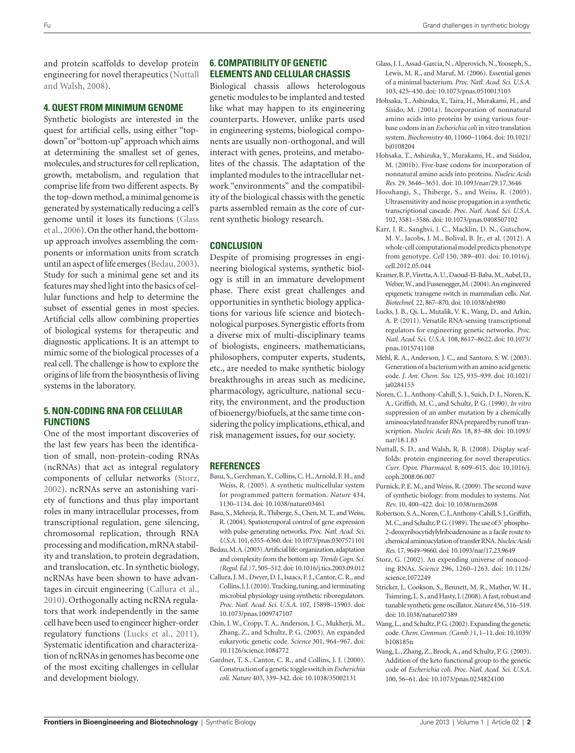<span id="page-1-0"></span>and protein scaffolds to develop protein engineering for novel therapeutics [\(Nuttall](#page-1-0)  [and Walsh, 2008\).](#page-1-0)

#### **4. Quest from minimum genome**

Synthetic biologists are interested in the quest for artificial cells, using either "topdown" or "bottom-up" approach which aims at determining the smallest set of genes, molecules, and structures for cell replication, growth, metabolism, and regulation that comprise life from two different aspects. By the top-down method, a minimal genome is generated by systematically reducing a cell's genome until it loses its functions [\(Glass](#page-1-0)  et [al., 2006\)](#page-1-0). On the other hand, the bottomup approach involves assembling the components or information units from scratch until an aspect of life emerges [\(Bedau, 2003\)](#page-1-0). Study for such a minimal gene set and its features may shed light into the basics of cellular functions and help to determine the subset of essential genes in most species. Artificial cells allow combining properties of biological systems for therapeutic and diagnostic applications. It is an attempt to mimic some of the biological processes of a real cell. The challenge is how to explore the origins of life from the biosynthesis of living systems in the laboratory.

## **5. Non-coding RNA for cellular functions**

One of the most important discoveries of the last few years has been the identification of small, non-protein-coding RNAs (ncRNAs) that act as integral regulatory components of cellular networks [\(Storz,](#page-1-0)  [2002\).](#page-1-0) ncRNAs serve an astonishing variety of functions and thus play important roles in many intracellular processes, from transcriptional regulation, gene silencing, chromosomal replication, through RNA processing and modification, mRNA stability and translation, to protein degradation, and translocation, etc. In synthetic biology, ncRNAs have been shown to have advantages in circuit engineering [\(Callura et](#page-1-0) al., [2010\).](#page-1-0) Orthogonally acting ncRNA regulators that work independently in the same cell have been used to engineer higher-order regulatory functions [\(Lucks et](#page-1-0) al., 2011). Systematic identification and characterization of ncRNAs in genomes has become one of the most exciting challenges in cellular and development biology.

## **6. Compatibility of genetic elements and cellular chassis**

Biological chassis allows heterologous genetic modules to be implanted and tested like what may happen to its engineering counterparts. However, unlike parts used in engineering systems, biological components are usually non-orthogonal, and will interact with genes, proteins, and metabolites of the chassis. The adaptation of the implanted modules to the intracellular network "environments" and the compatibility of the biological chassis with the genetic parts assembled remain as the core of current synthetic biology research.

#### **Conclusion**

Despite of promising progresses in engineering biological systems, synthetic biology is still in an immature development phase. There exist great challenges and opportunities in synthetic biology applications for various life science and biotechnological purposes. Synergistic efforts from a diverse mix of multi-disciplinary teams of biologists, engineers, mathematicians, philosophers, computer experts, students, etc., are needed to make synthetic biology breakthroughs in areas such as medicine, pharmacology, agriculture, national security, the environment, and the production of bioenergy/biofuels, at the same time considering the policy implications, ethical, and risk management issues, for our society.

#### **REFERENCES**

- Basu, S., Gerchman, Y., Collins, C. H., Arnold, F. H., and Weiss, R. (2005). A synthetic multicellular system for programmed pattern formation. *Nature* 434, 1130–1134. doi: 10.1038/nature03461
- Basu, S., Mehreja, R., Thiberge, S., Chen, M. T., and Weiss, R. (2004). Spatiotemporal control of gene expression with pulse-generating networks. *Proc. Natl. Acad. Sci. U.S.A.* 101, 6355–6360. doi: 10.1073/pnas.0307571101
- Bedau, M. A. (2003). Artificial life: organization, adaptation and complexity from the bottom up. *Trends Cogn. Sci. (Regul. Ed.)* 7, 505–512. doi: 10.1016/j.tics.2003.09.012
- Callura, J. M., Dwyer, D. J., Isaacs, F. J., Cantor, C. R., and Collins, J. J. (2010). Tracking, tuning, and terminating microbial physiology using synthetic riboregulators. *Proc. Natl. Acad. Sci. U.S.A.* 107, 15898–15903. doi: 10.1073/pnas.1009747107
- Chin, J. W., Cropp, T. A., Anderson, J. C., Mukherji, M., Zhang, Z., and Schultz, P. G. (2003). An expanded eukaryotic genetic code. *Science* 301, 964–967. doi: 10.1126/science.1084772
- Gardner, T. S., Cantor, C. R., and Collins, J. J. (2000). Construction of a genetic toggle switch in *Escherichia coli*. *Nature* 403, 339–342. doi: 10.1038/35002131
- Glass, J. I., Assad-Garcia, N., Alperovich, N., Yooseph, S., Lewis, M. R., and Maruf, M. (2006). Essential genes of a minimal bacterium. *Proc. Natl. Acad. Sci. U.S.A.* 103, 425–430. doi: 10.1073/pnas.0510013103
- Hohsaka, T., Ashizuka, Y., Taira, H., Murakami, H., and Sisido, M. (2001a). Incorporation of nonnatural amino acids into proteins by using various fourbase codons in an *Escherichia coli* in vitro translation system. *Biochemistry* 40, 11060–11064. doi: 10.1021/ bi0108204
- Hohsaka, T., Ashizuka, Y., Murakami, H., and Sisidoa, M. (2001b). Five-base codons for incorporation of nonnatural amino acids into proteins. *Nucleic Acids Res.* 29, 3646–3651. doi: 10.1093/nar/29.17.3646
- Hooshangi, S., Thiberge, S., and Weiss, R. (2005). Ultrasensitivity and noise propagation in a synthetic transcriptional cascade. *Proc. Natl. Acad. Sci. U.S.A.* 102, 3581–3586. doi: 10.1073/pnas.0408507102
- Karr, J. R., Sanghvi, J. C., Macklin, D. N., Gutschow, M. V., Jacobs, J. M., Bolival, B. Jr., et al. (2012). A whole-cell computational model predicts phenotype from genotype. *Cell* 150, 389–401. doi: 10.1016/j. cell.2012.05.044
- Kramer, B. P., Viretta, A. U., Daoud-El-Baba, M., Aubel, D., Weber, W., and Fussenegger, M. (2004). An engineered epigenetic transgene switch in mammalian cells. *Nat. Biotechnol.* 22, 867–870. doi: 10.1038/nbt980
- Lucks, J. B., Qi, L., Mutalik, V. K., Wang, D., and Arkin, A. P. (2011). Versatile RNA-sensing transcriptional regulators for engineering genetic networks. *Proc. Natl. Acad. Sci. U.S.A.* 108, 8617–8622. doi: 10.1073/ pnas.1015741108
- Mehl, R. A., Anderson, J. C., and Santoro, S. W. (2003). Generation of a bacterium with an amino acid genetic code. *J. Am. Chem. Soc.* 125, 935–939. doi: 10.1021/ ja0284153
- Noren, C. J., Anthony-Cahill, S. J., Suich, D. J., Noren, K. A., Griffith, M. C., and Schultz, P. G. (1990). *In vitro* suppression of an amber mutation by a chemically aminoacylated transfer RNA prepared by runoff transcription. *Nucleic Acids Res.* 18, 83–88. doi: 10.1093/ nar/18.1.83
- Nuttall, S. D., and Walsh, R. B. (2008). Display scaffolds: protein engineering for novel therapeutics. *Curr. Opin. Pharmacol.* 8, 609–615. doi: 10.1016/j. coph.2008.06.007
- Purnick, P. E. M., and Weiss, R. (2009). The second wave of synthetic biology: from modules to systems. *Nat. Rev.* 10, 400–422. doi: 10.1038/nrm2698
- Robertson, S. A., Noren, C. J., Anthony-Cahill, S. J., Griffith, M. C., and Schultz, P. G. (1989). The use of 5´ phospho-2-deoxyribocytidylylriboadenosine as a facile route to chemical aminoacylation of transfer RNA. *Nucleic Acids Res.* 17, 9649–9660. doi: 10.1093/nar/17.23.9649
- Storz, G. (2002). An expending universe of noncoding RNAs. *Science* 296, 1260–1263. doi: 10.1126/ science.1072249
- Stricker, J., Cookson, S., Bennett, M. R., Mather, W. H., Tsimring, L. S., and Hasty, J. (2008). A fast, robust and tunable synthetic gene oscillator. *Nature* 456, 516–519. doi: 10.1038/nature07389
- Wang, L., and Schultz, P. G. (2002). Expanding the genetic code. *Chem. Commun. (Camb.)* 1, 1–11. doi: 10.1039/ b108185n
- Wang, L., Zhang, Z., Brock, A., and Schultz, P. G. (2003). Addition of the keto functional group to the genetic code of *Escherichia coli*. *Proc. Natl. Acad. Sci. U.S.A.* 100, 56–61. doi: 10.1073/pnas.0234824100